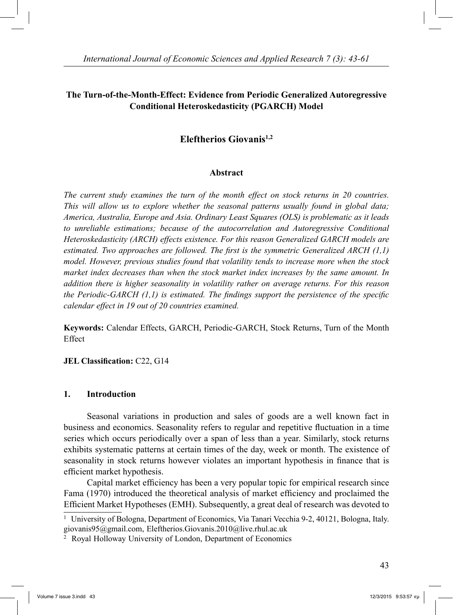# **The Turn-of-the-Month-Effect: Evidence from Periodic Generalized Autoregressive Conditional Heteroskedasticity (PGARCH) Model**

# **Eleftherios Giovanis1,2**

### **Abstract**

*The current study examines the turn of the month effect on stock returns in 20 countries. This will allow us to explore whether the seasonal patterns usually found in global data; America, Australia, Europe and Asia. Ordinary Least Squares (OLS) is problematic as it leads to unreliable estimations; because of the autocorrelation and Autoregressive Conditional Heteroskedasticity (ARCH) effects existence. For this reason Generalized GARCH models are estimated. Two approaches are followed. The first is the symmetric Generalized ARCH (1,1) model. However, previous studies found that volatility tends to increase more when the stock market index decreases than when the stock market index increases by the same amount. In addition there is higher seasonality in volatility rather on average returns. For this reason the Periodic-GARCH (1,1) is estimated. The findings support the persistence of the specific calendar effect in 19 out of 20 countries examined.* 

**Keywords:** Calendar Effects, GARCH, Periodic-GARCH, Stock Returns, Turn of the Month Effect

### **JEL Classification:** C22, G14

#### **1. Introduction**

 Seasonal variations in production and sales of goods are a well known fact in business and economics. Seasonality refers to regular and repetitive fluctuation in a time series which occurs periodically over a span of less than a year. Similarly, stock returns exhibits systematic patterns at certain times of the day, week or month. The existence of seasonality in stock returns however violates an important hypothesis in finance that is efficient market hypothesis.

 Capital market efficiency has been a very popular topic for empirical research since Fama (1970) introduced the theoretical analysis of market efficiency and proclaimed the Efficient Market Hypotheses (EMH). Subsequently, a great deal of research was devoted to

1 University of Bologna, Department of Economics, Via Tanari Vecchia 9-2, 40121, Bologna, Italy. giovanis95@gmail.com, Eleftherios.Giovanis.2010@live.rhul.ac.uk

<sup>2</sup> Royal Holloway University of London, Department of Economics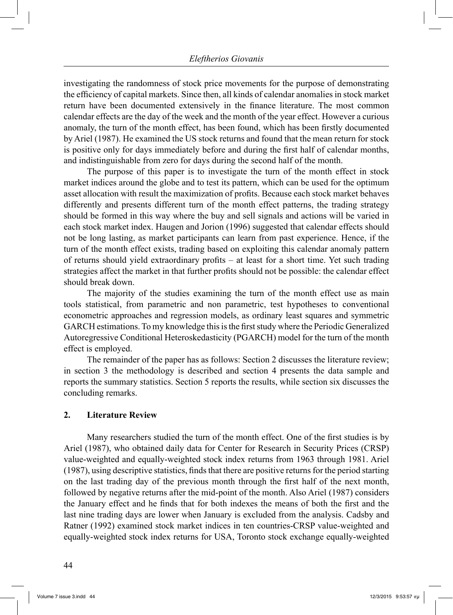investigating the randomness of stock price movements for the purpose of demonstrating the efficiency of capital markets. Since then, all kinds of calendar anomalies in stock market return have been documented extensively in the finance literature. The most common calendar effects are the day of the week and the month of the year effect. However a curious anomaly, the turn of the month effect, has been found, which has been firstly documented by Ariel (1987). He examined the US stock returns and found that the mean return for stock is positive only for days immediately before and during the first half of calendar months, and indistinguishable from zero for days during the second half of the month.

 The purpose of this paper is to investigate the turn of the month effect in stock market indices around the globe and to test its pattern, which can be used for the optimum asset allocation with result the maximization of profits. Because each stock market behaves differently and presents different turn of the month effect patterns, the trading strategy should be formed in this way where the buy and sell signals and actions will be varied in each stock market index. Haugen and Jorion (1996) suggested that calendar effects should not be long lasting, as market participants can learn from past experience. Hence, if the turn of the month effect exists, trading based on exploiting this calendar anomaly pattern of returns should yield extraordinary profits – at least for a short time. Yet such trading strategies affect the market in that further profits should not be possible: the calendar effect should break down.

 The majority of the studies examining the turn of the month effect use as main tools statistical, from parametric and non parametric, test hypotheses to conventional econometric approaches and regression models, as ordinary least squares and symmetric GARCH estimations. To my knowledge this is the first study where the Periodic Generalized Autoregressive Conditional Heteroskedasticity (PGARCH) model for the turn of the month effect is employed.

 The remainder of the paper has as follows: Section 2 discusses the literature review; in section 3 the methodology is described and section 4 presents the data sample and reports the summary statistics. Section 5 reports the results, while section six discusses the concluding remarks.

### **2. Literature Review**

 Many researchers studied the turn of the month effect. One of the first studies is by Ariel (1987), who obtained daily data for Center for Research in Security Prices (CRSP) value-weighted and equally-weighted stock index returns from 1963 through 1981. Ariel (1987), using descriptive statistics, finds that there are positive returns for the period starting on the last trading day of the previous month through the first half of the next month, followed by negative returns after the mid-point of the month. Also Ariel (1987) considers the January effect and he finds that for both indexes the means of both the first and the last nine trading days are lower when January is excluded from the analysis. Cadsby and Ratner (1992) examined stock market indices in ten countries-CRSP value-weighted and equally-weighted stock index returns for USA, Toronto stock exchange equally-weighted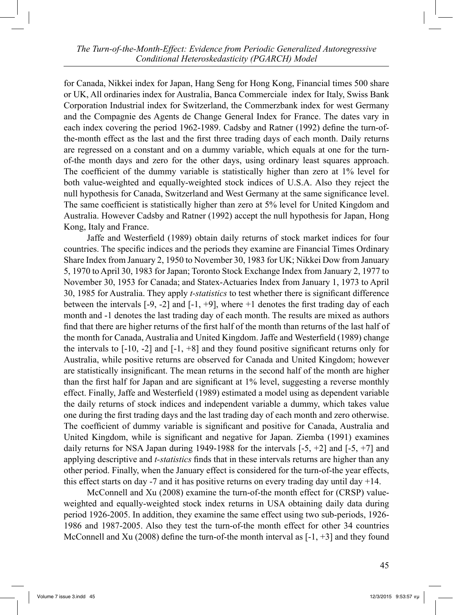for Canada, Nikkei index for Japan, Hang Seng for Hong Kong, Financial times 500 share or UK, All ordinaries index for Australia, Banca Commerciale index for Italy, Swiss Bank Corporation Industrial index for Switzerland, the Commerzbank index for west Germany and the Compagnie des Agents de Change General Index for France. The dates vary in each index covering the period 1962-1989. Cadsby and Ratner (1992) define the turn-ofthe-month effect as the last and the first three trading days of each month. Daily returns are regressed on a constant and on a dummy variable, which equals at one for the turnof-the month days and zero for the other days, using ordinary least squares approach. The coefficient of the dummy variable is statistically higher than zero at 1% level for both value-weighted and equally-weighted stock indices of U.S.A. Also they reject the null hypothesis for Canada, Switzerland and West Germany at the same significance level. The same coefficient is statistically higher than zero at 5% level for United Kingdom and Australia. However Cadsby and Ratner (1992) accept the null hypothesis for Japan, Hong Kong, Italy and France.

 Jaffe and Westerfield (1989) obtain daily returns of stock market indices for four countries. The specific indices and the periods they examine are Financial Times Ordinary Share Index from January 2, 1950 to November 30, 1983 for UK; Nikkei Dow from January 5, 1970 to April 30, 1983 for Japan; Toronto Stock Exchange Index from January 2, 1977 to November 30, 1953 for Canada; and Statex-Actuaries Index from January 1, 1973 to April 30, 1985 for Australia. They apply *t-statistics* to test whether there is significant difference between the intervals  $[-9, -2]$  and  $[-1, +9]$ , where  $+1$  denotes the first trading day of each month and -1 denotes the last trading day of each month. The results are mixed as authors find that there are higher returns of the first half of the month than returns of the last half of the month for Canada, Australia and United Kingdom. Jaffe and Westerfield (1989) change the intervals to  $[-10, -2]$  and  $[-1, +8]$  and they found positive significant returns only for Australia, while positive returns are observed for Canada and United Kingdom; however are statistically insignificant. The mean returns in the second half of the month are higher than the first half for Japan and are significant at 1% level, suggesting a reverse monthly effect. Finally, Jaffe and Westerfield (1989) estimated a model using as dependent variable the daily returns of stock indices and independent variable a dummy, which takes value one during the first trading days and the last trading day of each month and zero otherwise. The coefficient of dummy variable is significant and positive for Canada, Australia and United Kingdom, while is significant and negative for Japan. Ziemba (1991) examines daily returns for NSA Japan during 1949-1988 for the intervals  $[-5, +2]$  and  $[-5, +7]$  and applying descriptive and *t-statistics* finds that in these intervals returns are higher than any other period. Finally, when the January effect is considered for the turn-of-the year effects, this effect starts on day  $-7$  and it has positive returns on every trading day until day  $+14$ .

 McConnell and Xu (2008) examine the turn-of-the month effect for (CRSP) valueweighted and equally-weighted stock index returns in USA obtaining daily data during period 1926-2005. In addition, they examine the same effect using two sub-periods, 1926- 1986 and 1987-2005. Also they test the turn-of-the month effect for other 34 countries McConnell and Xu (2008) define the turn-of-the month interval as  $[-1, +3]$  and they found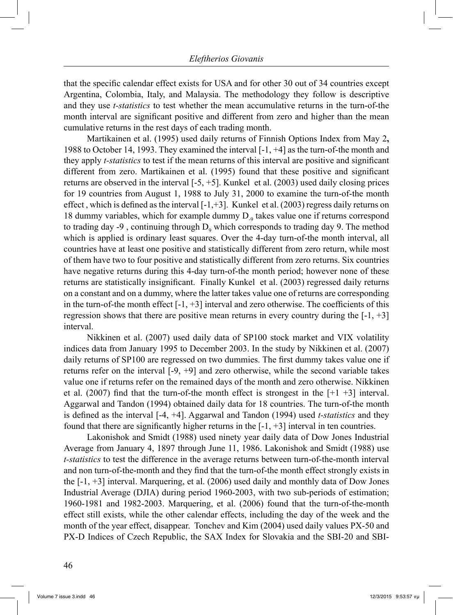that the specific calendar effect exists for USA and for other 30 out of 34 countries except Argentina, Colombia, Italy, and Malaysia. The methodology they follow is descriptive and they use *t-statistics* to test whether the mean accumulative returns in the turn-of-the month interval are significant positive and different from zero and higher than the mean cumulative returns in the rest days of each trading month.

 Martikainen et al. (1995) used daily returns of Finnish Options Index from May 2**,**  1988 to October 14, 1993. They examined the interval [-1, +4] as the turn-of-the month and they apply *t-statistics* to test if the mean returns of this interval are positive and significant different from zero. Martikainen et al. (1995) found that these positive and significant returns are observed in the interval  $[-5, +5]$ . Kunkel et al. (2003) used daily closing prices for 19 countries from August 1, 1988 to July 31, 2000 to examine the turn-of-the month effect, which is defined as the interval  $[-1, +3]$ . Kunkel et al. (2003) regress daily returns on 18 dummy variables, which for example dummy  $D_{\phi}$  takes value one if returns correspond to trading day  $-9$ , continuing through  $D<sub>9</sub>$  which corresponds to trading day 9. The method which is applied is ordinary least squares. Over the 4-day turn-of-the month interval, all countries have at least one positive and statistically different from zero return, while most of them have two to four positive and statistically different from zero returns. Six countries have negative returns during this 4-day turn-of-the month period; however none of these returns are statistically insignificant. Finally Kunkel et al. (2003) regressed daily returns on a constant and on a dummy, where the latter takes value one of returns are corresponding in the turn-of-the month effect  $[-1, +3]$  interval and zero otherwise. The coefficients of this regression shows that there are positive mean returns in every country during the  $[-1, +3]$ interval.

 Nikkinen et al. (2007) used daily data of SP100 stock market and VIX volatility indices data from January 1995 to December 2003. In the study by Nikkinen et al. (2007) daily returns of SP100 are regressed on two dummies. The first dummy takes value one if returns refer on the interval [-9, +9] and zero otherwise, while the second variable takes value one if returns refer on the remained days of the month and zero otherwise. Nikkinen et al. (2007) find that the turn-of-the month effect is strongest in the  $[+1 +3]$  interval. Aggarwal and Tandon (1994) obtained daily data for 18 countries. The turn-of-the month is defined as the interval [-4, +4]. Aggarwal and Tandon (1994) used *t-statistics* and they found that there are significantly higher returns in the  $[-1, +3]$  interval in ten countries.

 Lakonishok and Smidt (1988) used ninety year daily data of Dow Jones Industrial Average from January 4, 1897 through June 11, 1986. Lakonishok and Smidt (1988) use *t-statistics* to test the difference in the average returns between turn-of-the-month interval and non turn-of-the-month and they find that the turn-of-the month effect strongly exists in the [-1, +3] interval. Marquering, et al. (2006) used daily and monthly data of Dow Jones Industrial Average (DJIA) during period 1960-2003, with two sub-periods of estimation; 1960-1981 and 1982-2003. Marquering, et al. (2006) found that the turn-of-the-month effect still exists, while the other calendar effects, including the day of the week and the month of the year effect, disappear. Tonchev and Kim (2004) used daily values PX-50 and PX-D Indices of Czech Republic, the SAX Index for Slovakia and the SBI-20 and SBI-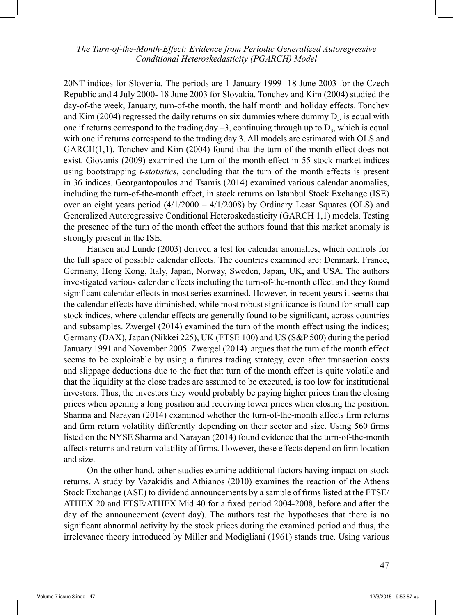20NT indices for Slovenia. The periods are 1 January 1999- 18 June 2003 for the Czech Republic and 4 July 2000- 18 June 2003 for Slovakia. Tonchev and Kim (2004) studied the day-of-the week, January, turn-of-the month, the half month and holiday effects. Tonchev and Kim (2004) regressed the daily returns on six dummies where dummy  $D_3$  is equal with one if returns correspond to the trading day  $-3$ , continuing through up to  $D_3$ , which is equal with one if returns correspond to the trading day 3. All models are estimated with OLS and GARCH(1,1). Tonchev and Kim (2004) found that the turn-of-the-month effect does not exist. Giovanis (2009) examined the turn of the month effect in 55 stock market indices using bootstrapping *t-statistics*, concluding that the turn of the month effects is present in 36 indices. Georgantopoulos and Tsamis (2014) examined various calendar anomalies, including the turn-of-the-month effect, in stock returns on Istanbul Stock Exchange (ISE) over an eight years period  $(4/1/2000 - 4/1/2008)$  by Ordinary Least Squares (OLS) and Generalized Autoregressive Conditional Heteroskedasticity (GARCH 1,1) models. Testing the presence of the turn of the month effect the authors found that this market anomaly is strongly present in the ISE.

 Hansen and Lunde (2003) derived a test for calendar anomalies, which controls for the full space of possible calendar effects. The countries examined are: Denmark, France, Germany, Hong Kong, Italy, Japan, Norway, Sweden, Japan, UK, and USA. The authors investigated various calendar effects including the turn-of-the-month effect and they found significant calendar effects in most series examined. However, in recent years it seems that the calendar effects have diminished, while most robust significance is found for small-cap stock indices, where calendar effects are generally found to be significant, across countries and subsamples. Zwergel (2014) examined the turn of the month effect using the indices; Germany (DAX), Japan (Nikkei 225), UK (FTSE 100) and US (S&P 500) during the period January 1991 and November 2005. Zwergel (2014) argues that the turn of the month effect seems to be exploitable by using a futures trading strategy, even after transaction costs and slippage deductions due to the fact that turn of the month effect is quite volatile and that the liquidity at the close trades are assumed to be executed, is too low for institutional investors. Thus, the investors they would probably be paying higher prices than the closing prices when opening a long position and receiving lower prices when closing the position. Sharma and Narayan (2014) examined whether the turn-of-the-month affects firm returns and firm return volatility differently depending on their sector and size. Using 560 firms listed on the NYSE Sharma and Narayan (2014) found evidence that the turn-of-the-month affects returns and return volatility of firms. However, these effects depend on firm location and size.

 On the other hand, other studies examine additional factors having impact on stock returns. A study by Vazakidis and Athianos (2010) examines the reaction of the Athens Stock Exchange (ASE) to dividend announcements by a sample of firms listed at the FTSE/ ATHEX 20 and FTSE/ATHEX Mid 40 for a fixed period 2004-2008, before and after the day of the announcement (event day). The authors test the hypotheses that there is no significant abnormal activity by the stock prices during the examined period and thus, the irrelevance theory introduced by Miller and Modigliani (1961) stands true. Using various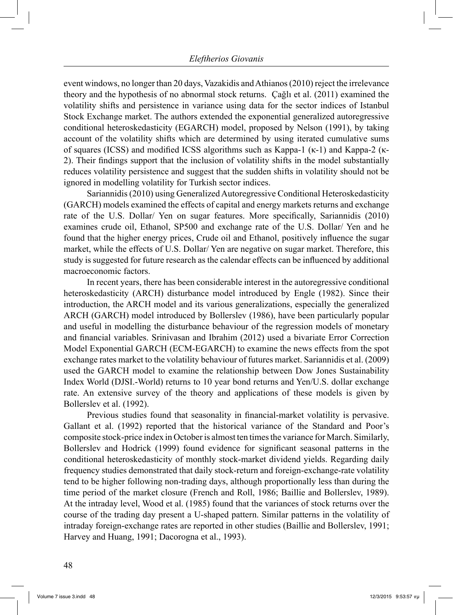event windows, no longer than 20 days, Vazakidis and Athianos (2010) reject the irrelevance theory and the hypothesis of no abnormal stock returns. Çağlı et al. (2011) examined the volatility shifts and persistence in variance using data for the sector indices of Istanbul Stock Exchange market. The authors extended the exponential generalized autoregressive conditional heteroskedasticity (EGARCH) model, proposed by Nelson (1991), by taking account of the volatility shifts which are determined by using iterated cumulative sums of squares (ICSS) and modified ICSS algorithms such as Kappa-1 (κ-1) and Kappa-2 (κ-2). Their findings support that the inclusion of volatility shifts in the model substantially reduces volatility persistence and suggest that the sudden shifts in volatility should not be ignored in modelling volatility for Turkish sector indices.

 Sariannidis (2010) using Generalized Autoregressive Conditional Heteroskedasticity (GARCH) models examined the effects of capital and energy markets returns and exchange rate of the U.S. Dollar/ Yen on sugar features. More specifically, Sariannidis (2010) examines crude oil, Ethanol, SP500 and exchange rate of the U.S. Dollar/ Yen and he found that the higher energy prices, Crude oil and Ethanol, positively influence the sugar market, while the effects of U.S. Dollar/ Yen are negative on sugar market. Therefore, this study is suggested for future research as the calendar effects can be influenced by additional macroeconomic factors.

 In recent years, there has been considerable interest in the autoregressive conditional heteroskedasticity (ARCH) disturbance model introduced by Engle (1982). Since their introduction, the ARCH model and its various generalizations, especially the generalized ARCH (GARCH) model introduced by Bollerslev (1986), have been particularly popular and useful in modelling the disturbance behaviour of the regression models of monetary and financial variables. Srinivasan and Ibrahim (2012) used a bivariate Error Correction Model Exponential GARCH (ECM-EGARCH) to examine the news effects from the spot exchange rates market to the volatility behaviour of futures market. Sariannidis et al. (2009) used the GARCH model to examine the relationship between Dow Jones Sustainability Index World (DJSI.-World) returns to 10 year bond returns and Yen/U.S. dollar exchange rate. An extensive survey of the theory and applications of these models is given by Bollerslev et al. (1992).

 Previous studies found that seasonality in financial-market volatility is pervasive. Gallant et al. (1992) reported that the historical variance of the Standard and Poor's composite stock-price index in October is almost ten times the variance for March. Similarly, Bollerslev and Hodrick (1999) found evidence for significant seasonal patterns in the conditional heteroskedasticity of monthly stock-market dividend yields. Regarding daily frequency studies demonstrated that daily stock-return and foreign-exchange-rate volatility tend to be higher following non-trading days, although proportionally less than during the time period of the market closure (French and Roll, 1986; Baillie and Bollerslev, 1989). At the intraday level, Wood et al. (1985) found that the variances of stock returns over the course of the trading day present a U-shaped pattern. Similar patterns in the volatility of intraday foreign-exchange rates are reported in other studies (Baillie and Bollerslev, 1991; Harvey and Huang, 1991; Dacorogna et al., 1993).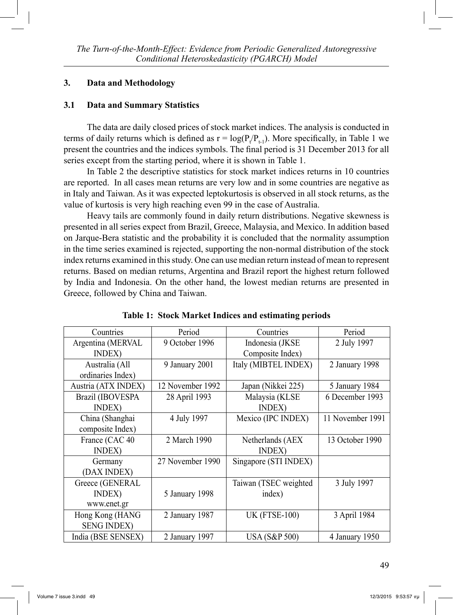## **3. Data and Methodology**

## **3.1 Data and Summary Statistics**

 The data are daily closed prices of stock market indices. The analysis is conducted in terms of daily returns which is defined as  $r = log(P_t/P_{t-1})$ . More specifically, in Table 1 we present the countries and the indices symbols. The final period is 31 December 2013 for all series except from the starting period, where it is shown in Table 1.

 In Table 2 the descriptive statistics for stock market indices returns in 10 countries are reported. In all cases mean returns are very low and in some countries are negative as in Italy and Taiwan. As it was expected leptokurtosis is observed in all stock returns, as the value of kurtosis is very high reaching even 99 in the case of Australia.

 Heavy tails are commonly found in daily return distributions. Negative skewness is presented in all series expect from Brazil, Greece, Malaysia, and Mexico. In addition based on Jarque-Bera statistic and the probability it is concluded that the normality assumption in the time series examined is rejected, supporting the non-normal distribution of the stock index returns examined in this study. One can use median return instead of mean to represent returns. Based on median returns, Argentina and Brazil report the highest return followed by India and Indonesia. On the other hand, the lowest median returns are presented in Greece, followed by China and Taiwan.

| Countries           | Period           | Countries                | Period           |
|---------------------|------------------|--------------------------|------------------|
| Argentina (MERVAL   | 9 October 1996   | Indonesia (JKSE          | 2 July 1997      |
| <b>INDEX</b> )      |                  | Composite Index)         |                  |
| Australia (All      | 9 January 2001   | Italy (MIBTEL INDEX)     | 2 January 1998   |
| ordinaries Index)   |                  |                          |                  |
| Austria (ATX INDEX) | 12 November 1992 | Japan (Nikkei 225)       | 5 January 1984   |
| Brazil (IBOVESPA    | 28 April 1993    | Malaysia (KLSE           | 6 December 1993  |
| <b>INDEX</b> )      |                  | <b>INDEX</b> )           |                  |
| China (Shanghai     | 4 July 1997      | Mexico (IPC INDEX)       | 11 November 1991 |
| composite Index)    |                  |                          |                  |
| France (CAC 40      | 2 March 1990     | Netherlands (AEX         | 13 October 1990  |
| <b>INDEX</b> )      |                  | <b>INDEX</b> )           |                  |
| Germany             | 27 November 1990 | Singapore (STI INDEX)    |                  |
| (DAX INDEX)         |                  |                          |                  |
| Greece (GENERAL     |                  | Taiwan (TSEC weighted    | 3 July 1997      |
| INDEX)              | 5 January 1998   | index)                   |                  |
| www.enet.gr         |                  |                          |                  |
| Hong Kong (HANG     | 2 January 1987   | <b>UK (FTSE-100)</b>     | 3 April 1984     |
| <b>SENG INDEX)</b>  |                  |                          |                  |
| India (BSE SENSEX)  | 2 January 1997   | <b>USA (S&amp;P 500)</b> | 4 January 1950   |

**Table 1: Stock Market Indices and estimating periods**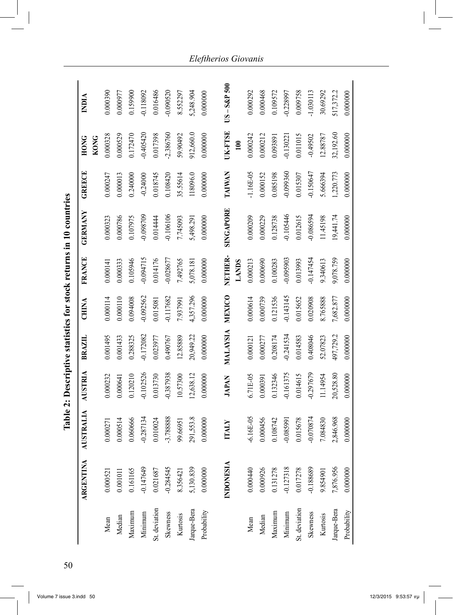|               | <b>ARGENTINA</b> | <b>STRALIA</b><br>₹ | AUSTRIA      | BRAZIL      | CHINA       | <b>FRANCE</b> | GERMANY          | <b>GREECE</b> | <b>HONG</b>      | NDIA            |
|---------------|------------------|---------------------|--------------|-------------|-------------|---------------|------------------|---------------|------------------|-----------------|
|               |                  |                     |              |             |             |               |                  |               | <b>KONG</b>      |                 |
| Mean          | 0.000521         | 0.000271            | 0.000232     | 0.001495    | 0.000114    | 0.000141      | 0.000323         | 0.000247      | 0.000328         | 0.000390        |
| Median        | 0.001011         | 0.000514            | 0.000641     | 0.001433    | 0.000110    | 0.000333      | 0.000786         | 0.000013      | 0.000529         | 0.000977        |
| Maximum       | 0.161165         | 0.060666            | 0.120210     | 0.288325    | 0.094008    | 0.105946      | 0.107975         | 0.240000      | 0.172470         | 0.159900        |
| Minimum       | $-0.147649$      | $-0.287134$         | $-0.102526$  | $-0.172082$ | $-0.092562$ | $-0.094715$   | -0.098709        | $-0.24000$    | $-0.405420$      | $-0.118092$     |
| St. deviation | 0.021687         | 0.010024            | 0.013730     | 0.023977    | 0.015081    | 0.014176      | 0.014444         | 0.018745      | 0.017398         | 0.016486        |
| Skewness      | $-0.284545$      | $-3.788888$         | -0.387938    | 0.490767    | $-0.117682$ | $-0.028677$   | $-0.106106$      | 0.108420      | $-2.386760$      | $-0.090520$     |
| Kurtosis      | 8.356421         | 99.66951            | 10.57300     | 12.85889    | 1.937991    | 7.492765      | 7.745093         | 35.55614      | 59.90492         | 8.552297        |
| Jarque-Bera   | 5,130.839        | 291,553.8           | 12,638.12    | 20,949.22   | 4,357.296   | 5,078.181     | 5,498.29         | 118096.0      | 912,660.0        | 5,248.904       |
| Probability   | 0.000000         | 0.000000            | 0.000000     | 0.000000    | 0.000000    | 0.000000      | 0.000000         | 0.000000      | 0.000000         | 0.000000        |
|               |                  |                     |              |             |             |               |                  |               |                  |                 |
|               | NDONESIA         | ITALY               | <b>JAPAN</b> | MALAYSIA    | MEXICO      | NETHER-       | <b>SINGAPORE</b> | TAIWAN        | UK-FTSE          | $US - S\&P 500$ |
|               |                  |                     |              |             |             | <b>LANDS</b>  |                  |               | $\overline{100}$ |                 |
| Mean          | 0.000440         | $-6.16E - 05$       | 6.71E-05     | 0.000121    | 0.000614    | 0.000213      | 0.000209         | $-1.16E-05$   | 0.000242         | 0.000292        |
| Median        | 0.000926         | 0.000456            | 0.000391     | 0.000277    | 0.000739    | 0.000690      | 0.000229         | 0.000152      | 0.000212         | 0.000468        |
| Maximum       | 0.131278         | 0.108742            | 0.132346     | 0.208174    | 0.121536    | 0.100283      | 0.128738         | 0.085198      | 0.093891         | 0.109572        |
| Minimum       | $-0.127318$      | $-0.085991$         | $-0.161375$  | $-0.241534$ | $-0.143145$ | -0.095903     | $-0.105446$      | $-0.099360$   | $-0.13022$       | $-0.228997$     |
| St. deviation | 0.017278         | 0.015678            | 0.014615     | 0.014583    | 0.015652    | 0.013993      | 0.012615         | 0.015307      | 0.011015         | 0.009758        |
| Skewness      | -0.188689        | $-0.070874$         | -0.297679    | 0.408046    | 0.020908    | $-0.147454$   | $-0.086594$      | $-0.150647$   | $-0.49502$       | $-1.030113$     |
| Kurtosis      | 9.854901         | 7.084830            | 11.14954     | 52.07823    | 8.765888    | 9.340613      | 11.45198         | 5.666394      | 12.88787         | 30.69292        |
| Jarque-Bera   | 7,876.956        | 2,846.968           | 20,528.80    | 497,729.2   | 7,682.877   | 9,078.759     | 19,441.74        | 1,220.773     | 32,192.60        | 517,372.2       |
| Probability   | 0.000000         | 0.000000            | 0.000000     | 0.000000    | 0.000000    | 0.000000      | 0.000000         | 0.000000      | 0.000000         | 0.000000        |

Table 2: Descriptive statistics for stock returns in 10 countries **Table 2: Descriptive statistics for stock returns in 10 countries**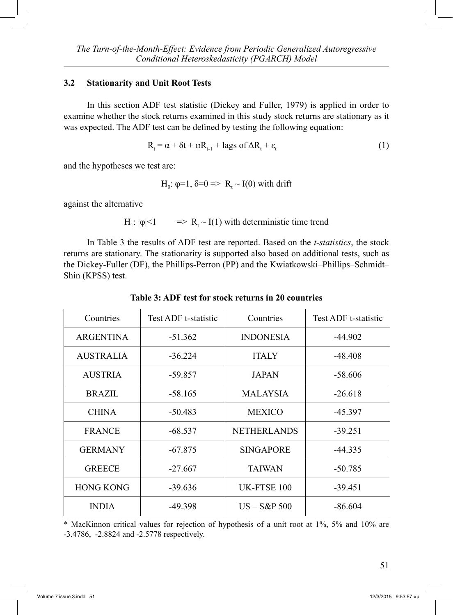### **3.2 Stationarity and Unit Root Tests**

 In this section ADF test statistic (Dickey and Fuller, 1979) is applied in order to examine whether the stock returns examined in this study stock returns are stationary as it was expected. The ADF test can be defined by testing the following equation:

$$
R_{t} = \alpha + \delta t + \varphi R_{t-1} + \text{lags of } \Delta R_{t} + \varepsilon_{t}
$$
\n(1)

and the hypotheses we test are:

H<sub>0</sub>: 
$$
\varphi=1
$$
,  $\delta=0 \Rightarrow R_t \sim I(0)$  with drift

against the alternative

$$
H_1: |\varphi| < 1 \qquad \Rightarrow R_t \sim I(1) \text{ with deterministic time trend}
$$

 In Table 3 the results of ADF test are reported. Based on the *t-statistics*, the stock returns are stationary. The stationarity is supported also based on additional tests, such as the Dickey-Fuller (DF), the Phillips-Perron (PP) and the Kwiatkowski–Phillips–Schmidt– Shin (KPSS) test.

| Countries        | Test ADF t-statistic | Countries          | Test ADF t-statistic |
|------------------|----------------------|--------------------|----------------------|
| ARGENTINA        | $-51.362$            | <b>INDONESIA</b>   | $-44.902$            |
| <b>AUSTRALIA</b> | $-36.224$            | <b>ITALY</b>       | $-48.408$            |
| <b>AUSTRIA</b>   | $-59.857$            | <b>JAPAN</b>       | $-58.606$            |
| <b>BRAZIL</b>    | $-58.165$            | <b>MALAYSIA</b>    | $-26.618$            |
| <b>CHINA</b>     | $-50.483$            | <b>MEXICO</b>      | -45.397              |
| <b>FRANCE</b>    | $-68.537$            | <b>NETHERLANDS</b> | $-39.251$            |
| <b>GERMANY</b>   | $-67.875$            | <b>SINGAPORE</b>   | $-44.335$            |
| <b>GREECE</b>    | $-27.667$            | TAIWAN             | $-50.785$            |
| <b>HONG KONG</b> | -39.636              | UK-FTSE 100        | $-39.451$            |
| <b>INDIA</b>     | $-49.398$            | $US - S\&P 500$    | $-86.604$            |

**Table 3: ADF test for stock returns in 20 countries**

\* MacKinnon critical values for rejection of hypothesis of a unit root at 1%, 5% and 10% are -3.4786, -2.8824 and -2.5778 respectively.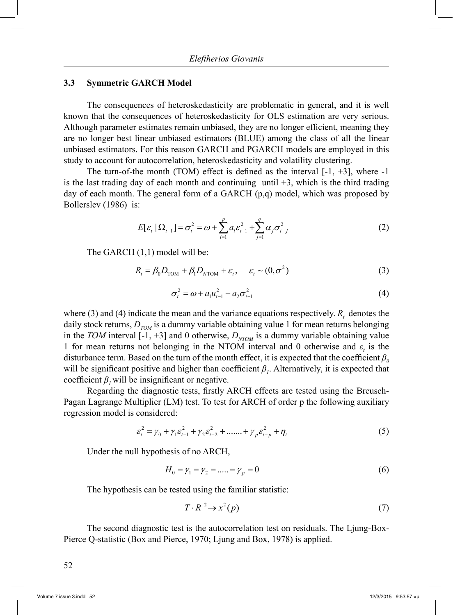#### **3.3 Symmetric GARCH Model**

 The consequences of heteroskedasticity are problematic in general, and it is well known that the consequences of heteroskedasticity for OLS estimation are very serious. Although parameter estimates remain unbiased, they are no longer efficient, meaning they are no longer best linear unbiased estimators (BLUE) among the class of all the linear unbiased estimators. For this reason GARCH and PGARCH models are employed in this study to account for autocorrelation, heteroskedasticity and volatility clustering.

The turn-of-the month (TOM) effect is defined as the interval  $[-1, +3]$ , where  $-1$ is the last trading day of each month and continuing until  $+3$ , which is the third trading day of each month. The general form of a GARCH (p,q) model, which was proposed by Bollerslev (1986) is:

$$
E[\varepsilon_{t} | \Omega_{t-1}] = \sigma_{t}^{2} = \omega + \sum_{i=1}^{p} a_{i} \varepsilon_{t-1}^{2} + \sum_{j=1}^{q} \alpha_{j} \sigma_{t-j}^{2}
$$
 (2)

The GARCH (1,1) model will be:

$$
R_t = \beta_0 D_{\text{TOM}} + \beta_1 D_{\text{NTOM}} + \varepsilon_t, \quad \varepsilon_t \sim (0, \sigma^2)
$$
 (3)

$$
\sigma_t^2 = \omega + a_1 u_{t-1}^2 + a_2 \sigma_{t-1}^2 \tag{4}
$$

where (3) and (4) indicate the mean and the variance equations respectively.  $R_t$  denotes the daily stock returns,  $D_{TOM}$  is a dummy variable obtaining value 1 for mean returns belonging in the *TOM* interval [-1, +3] and 0 otherwise,  $D_{NTOM}$  is a dummy variable obtaining value 1 for mean returns not belonging in the NTOM interval and 0 otherwise and  $\varepsilon$ <sub>t</sub> is the disturbance term. Based on the turn of the month effect, it is expected that the coefficient  $\beta$ <sup>0</sup> will be significant positive and higher than coefficient  $\beta$ <sup>*1*</sup>. Alternatively, it is expected that coefficient  $\beta$ , will be insignificant or negative.

 Regarding the diagnostic tests, firstly ARCH effects are tested using the Breusch-Pagan Lagrange Multiplier (LM) test. To test for ARCH of order p the following auxiliary regression model is considered:

$$
\varepsilon_t^2 = \gamma_0 + \gamma_1 \varepsilon_{t-1}^2 + \gamma_2 \varepsilon_{t-2}^2 + \dots + \gamma_p \varepsilon_{t-p}^2 + \eta_t
$$
 (5)

Under the null hypothesis of no ARCH,

$$
H_0 = \gamma_1 = \gamma_2 = \dots = \gamma_p = 0 \tag{6}
$$

The hypothesis can be tested using the familiar statistic:

$$
T \cdot R^2 \to x^2(p) \tag{7}
$$

 The second diagnostic test is the autocorrelation test on residuals. The Ljung-Box-Pierce Q-statistic (Box and Pierce, 1970; Ljung and Box, 1978) is applied.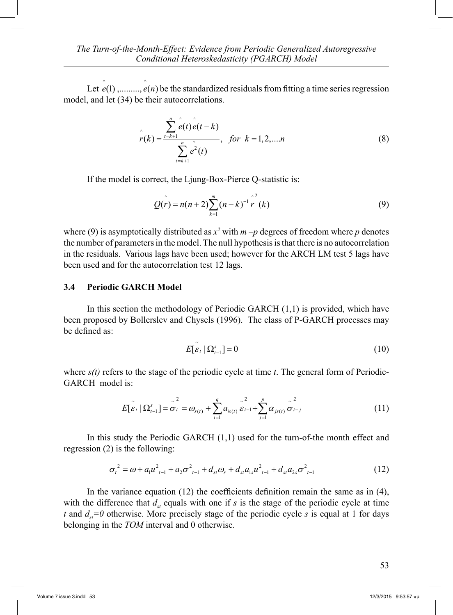Let  $\hat{e}(1)$ ,........,  $\hat{e}(n)$  be the standardized residuals from fitting a time series regression model, and let (34) be their autocorrelations.

$$
\hat{r}(k) = \frac{\sum_{t=k+1}^{n} \hat{e}(t) \hat{e}(t-k)}{\sum_{t=k+1}^{n} \hat{e}^{2}(t)}, \text{ for } k = 1, 2, \dots n
$$
\n(8)

If the model is correct, the Ljung-Box-Pierce Q-statistic is:

$$
Q(r) = n(n+2) \sum_{k=1}^{m} (n-k)^{-1} r^{2} (k)
$$
\n(9)

where (9) is asymptotically distributed as  $x^2$  with  $m-p$  degrees of freedom where p denotes the number of parameters in the model. The null hypothesis is that there is no autocorrelation in the residuals. Various lags have been used; however for the ARCH LM test 5 lags have been used and for the autocorrelation test 12 lags.

### **3.4 Periodic GARCH Model**

 In this section the methodology of Periodic GARCH (1,1) is provided, which have been proposed by Bollerslev and Chysels (1996). The class of P-GARCH processes may be defined as:

$$
E[\tilde{\varepsilon}_t | \Omega_{t-1}^s] = 0 \tag{10}
$$

where  $s(t)$  refers to the stage of the periodic cycle at time *t*. The general form of Periodic-GARCH model is:

$$
E[\tilde{\varepsilon}_{t} | \Omega_{t-1}^{s}] = \tilde{\sigma}_{t}^{2} = \omega_{s(t)} + \sum_{i=1}^{q} a_{is(t)} \tilde{\varepsilon}_{t-1} + \sum_{j=1}^{p} \alpha_{js(t)} \tilde{\sigma}_{t-j}^{2}
$$
(11)

 In this study the Periodic GARCH (1,1) used for the turn-of-the month effect and regression (2) is the following:

$$
\sigma_t^2 = \omega + a_1 u_{t-1}^2 + a_2 \sigma_{t-1}^2 + d_{st} \omega_s + d_{st} a_{1s} u_{t-1}^2 + d_{st} a_{2s} \sigma_{t-1}^2
$$
\n(12)

 In the variance equation (12) the coefficients definition remain the same as in (4), with the difference that  $d_{st}$  equals with one if *s* is the stage of the periodic cycle at time *t* and  $d_{\alpha}=0$  otherwise. More precisely stage of the periodic cycle *s* is equal at 1 for days belonging in the *TOM* interval and 0 otherwise.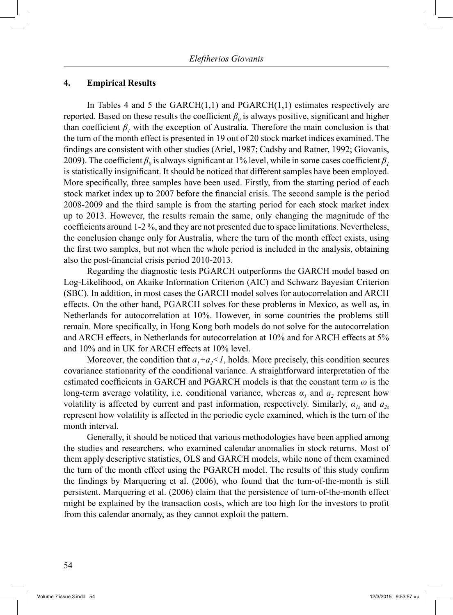#### **4. Empirical Results**

In Tables 4 and 5 the  $GARCH(1,1)$  and  $PGARCH(1,1)$  estimates respectively are reported. Based on these results the coefficient  $\beta_0$  is always positive, significant and higher than coefficient  $\beta$ <sup>*I*</sup> with the exception of Australia. Therefore the main conclusion is that the turn of the month effect is presented in 19 out of 20 stock market indices examined. The findings are consistent with other studies (Ariel, 1987; Cadsby and Ratner, 1992; Giovanis, 2009). The coefficient  $\beta_0$  is always significant at 1% level, while in some cases coefficient  $\beta_1$ is statistically insignificant. It should be noticed that different samples have been employed. More specifically, three samples have been used. Firstly, from the starting period of each stock market index up to 2007 before the financial crisis. The second sample is the period 2008-2009 and the third sample is from the starting period for each stock market index up to 2013. However, the results remain the same, only changing the magnitude of the coefficients around 1-2 %, and they are not presented due to space limitations. Nevertheless, the conclusion change only for Australia, where the turn of the month effect exists, using the first two samples, but not when the whole period is included in the analysis, obtaining also the post-financial crisis period 2010-2013.

 Regarding the diagnostic tests PGARCH outperforms the GARCH model based on Log-Likelihood, on Akaike Information Criterion (AIC) and Schwarz Bayesian Criterion (SBC). In addition, in most cases the GARCH model solves for autocorrelation and ARCH effects. On the other hand, PGARCH solves for these problems in Mexico, as well as, in Netherlands for autocorrelation at 10%. However, in some countries the problems still remain. More specifically, in Hong Kong both models do not solve for the autocorrelation and ARCH effects, in Netherlands for autocorrelation at 10% and for ARCH effects at 5% and 10% and in UK for ARCH effects at 10% level.

Moreover, the condition that  $a_1+a_2<1$ , holds. More precisely, this condition secures covariance stationarity of the conditional variance. A straightforward interpretation of the estimated coefficients in GARCH and PGARCH models is that the constant term *ω* is the long-term average volatility, i.e. conditional variance, whereas  $\alpha_1$  and  $\alpha_2$  represent how volatility is affected by current and past information, respectively. Similarly,  $\alpha_{1s}$  and  $\alpha_{2s}$ represent how volatility is affected in the periodic cycle examined, which is the turn of the month interval.

 Generally, it should be noticed that various methodologies have been applied among the studies and researchers, who examined calendar anomalies in stock returns. Most of them apply descriptive statistics, OLS and GARCH models, while none of them examined the turn of the month effect using the PGARCH model. The results of this study confirm the findings by Marquering et al. (2006), who found that the turn-of-the-month is still persistent. Marquering et al. (2006) claim that the persistence of turn-of-the-month effect might be explained by the transaction costs, which are too high for the investors to profit from this calendar anomaly, as they cannot exploit the pattern.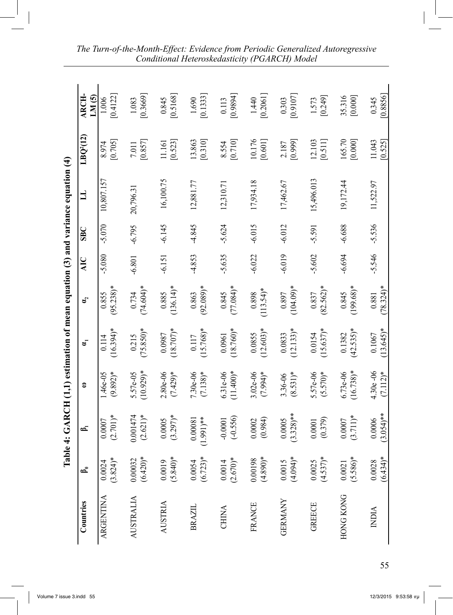|                  | Table                 |                         |                           |                        |                       |            |            | 4: GARCH (1,1) estimation of mean equation (3) and variance equation (4) |                       |                   |
|------------------|-----------------------|-------------------------|---------------------------|------------------------|-----------------------|------------|------------|--------------------------------------------------------------------------|-----------------------|-------------------|
| Countries        | ౚ                     | ౚ                       | 3                         | ಕ                      | ຢູ                    | <b>AIC</b> | <b>SBC</b> | 」                                                                        | LBQ <sup>2</sup> (12) | ARCH-<br>LM(5)    |
| ARGENTINA        | $(3.824)*$<br>0.0024  | $(2.701)*$<br>0.0007    | $(9.892)*$<br>.46e-05     | $(16.394)*$<br>0.114   | $(95.238)$ *<br>0.855 | $-5.080$   | $-5.070$   | 10,807.157                                                               | [0.705]<br>8.974      | [0.4122]<br>1.006 |
| <b>AUSTRALIA</b> | $(6.420)*$<br>0.00032 | 0.001474<br>$(2.621)*$  | $(10.929)$ *<br>5.57e-05  | $(75.850)*$<br>0.215   | $(74.604)*$<br>0.734  | $-6.801$   | $-6.795$   | 20,796.3                                                                 | [0.857]<br>7.011      | [0.3669]<br>1.083 |
| AUSTRIA          | $(5.840)*$<br>0.0019  | $(3.297)*$<br>0.0005    | $2.80e-06$<br>$(7.429)*$  | $(18.707)*$<br>0.0987  | $(136.14)^*$<br>0.885 | $-6.151$   | $-6.145$   | 16,100.75                                                                | [0.523]<br>11.161     | [0.5168]<br>0.845 |
| BRAZIL           | $(6.723)*$<br>0.0054  | $(1.991)**$<br>0.00081  | $7.30e-06$<br>$(7.138)*$  | $(15.768)*$<br>0.117   | $(92.089)*$<br>0.863  | $-4.853$   | $-4.845$   | 12,881.77                                                                | 13.863<br>[0.310]     | [0.1333]<br>1.690 |
| CHINA            | $(2.670)*$<br>0.0014  | $(-0.556)$<br>$-0.0001$ | $(11.400)*$<br>6.31e-06   | $(18.760)*$<br>0.0961  | $(77.084)*$<br>0.845  | $-5.635$   | $-5.624$   | 12,310.71                                                                | [0.710]<br>8.554      | [6880]<br>0.113   |
| <b>FRANCE</b>    | $(4.890)*$<br>0.00198 | (0.984)<br>0.0002       | $3.02e-06$<br>$(7.994)*$  | $(12.603)*$<br>0.0855  | $(113.54)$ *<br>0.898 | $-6.022$   | $-6.015$   | 17,934.18                                                                | 10.176<br>[0.601]     | [0.2061]<br>1.440 |
| <b>GERMANY</b>   | $(4.094)*$<br>0.0015  | $(3.328)$ **<br>0.0005  | $(8.531)*$<br>3.36-06     | $(12.133)*$<br>0.0833  | $(104.09)*$<br>0.897  | $-6.019$   | $-6.012$   | 17,462.67                                                                | [0.999]<br>2.187      | [0.9107]<br>0.303 |
| <b>GREECE</b>    | $(4.537)*$<br>0.0025  | (0.379)<br>0.0001       | 5.57e-06<br>$(5.570)*$    | $(15.637)$ *<br>0.0154 | $(82.562)*$<br>0.837  | $-5.602$   | $-5.591$   | 15,496.013                                                               | 12.103<br>[0.511]     | [0.249]<br>1.573  |
| <b>HONG KONG</b> | $(5.586)*$<br>0.0021  | $(3.711)*$<br>0.0007    | $(16.738)*$<br>$6.73e-06$ | $(42.535)*$<br>0.1382  | $(199.68)*$<br>0.845  | $-6.694$   | $-6.688$   | 19,172.44                                                                | 165.70<br>[0.000]     | 35.316<br>[0.000] |
| <b>NDIA</b>      | $(6.434)^*$<br>0.0028 | $(3.054)$ **<br>0.0006  | $4.30e -06$<br>$(7.112)*$ | $(13.645)*$<br>0.1067  | $(78.324)^*$<br>0.881 | $-5.546$   | $-5.536$   | 11,522.97                                                                | 11.043<br>[0.525]     | 0.8856<br>0.345   |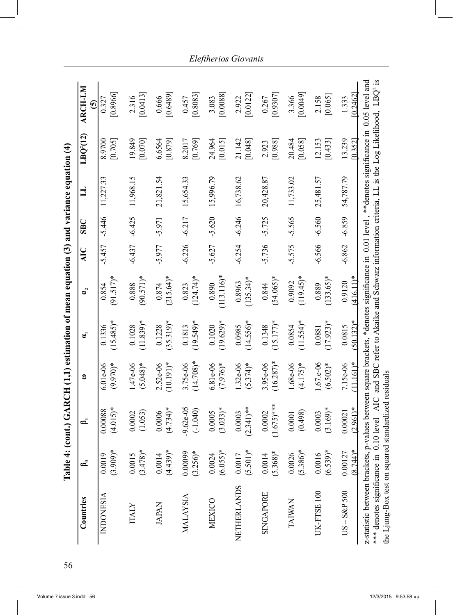|                                                                                                                                                                                                                                          |                                 | Table 4: (cont.) GARCH (1,1) estimation of mean equation (3) and variance equation (4) |                            |                        |                        |          |          |           |                    |                                                                                                  |
|------------------------------------------------------------------------------------------------------------------------------------------------------------------------------------------------------------------------------------------|---------------------------------|----------------------------------------------------------------------------------------|----------------------------|------------------------|------------------------|----------|----------|-----------|--------------------|--------------------------------------------------------------------------------------------------|
| Countries                                                                                                                                                                                                                                | ౚ                               | 61                                                                                     | 3                          | ಕ                      | ຮິ                     | ЯŃ       | SE       |           | $L\text{BQ}^2(12)$ | <b>ARCH-LM</b><br>ତି                                                                             |
| <b>INDONESIA</b>                                                                                                                                                                                                                         | $(3.909)*$<br>0.0019            | $(4.015)*$<br>0.00088                                                                  | $(9.970)*$<br>$6.01e - 06$ | $(15.485)*$<br>0.1336  | $(91.517)*$<br>0.854   | $-5.457$ | $-5.446$ | 11,227.33 | 8.9700<br>[0.705]  | [0.8966]<br>0.327                                                                                |
| <b>ITALY</b>                                                                                                                                                                                                                             | $(3.478)*$<br>0.0015            | (1.053)<br>0.0002                                                                      | 1.47e-06<br>$(5.048)*$     | $(11.839)*$<br>0.1028  | $(90.571)*$<br>0.888   | $-6.437$ | $-6.425$ | 11,968.15 | 19.849<br>[0.070]  | [0.0413]<br>2.316                                                                                |
| <b>JAPAN</b>                                                                                                                                                                                                                             | $(4.439)*$<br>0.0014            | $(4.734)*$<br>0.0006                                                                   | $(10.191)^*$<br>$2.52e-06$ | $(35.319)^*$<br>0.1228 | $(215.64)^*$<br>0.874  | $-5.977$ | $-5.971$ | 21,821.54 | 6.6564<br>[0.879]  | [0.6489]<br>0.666                                                                                |
| MALAYSIA                                                                                                                                                                                                                                 | $(3.256)*$<br>0.00099           | $9.62e-05$<br>$(-1.040)$                                                               | $(14.708)*$<br>3.75e-06    | $(19.549)*$<br>0.1813  | $(124.74)^*$<br>0.823  | $-6.226$ | $-6.217$ | 15,654.33 | [0.769]<br>8.2017  | [0.8083]<br>0.457                                                                                |
| MEXICO                                                                                                                                                                                                                                   | $(6.055)*$<br>0.0024            | $(3.033)*$<br>0.0005                                                                   | $6.81e - 06$<br>$(7.976)*$ | $(19.629)*$<br>0.1020  | $(113.116)*$<br>0.890  | $-5.627$ | $-5.620$ | 15,996.79 | 24.964<br>[0.015]  | [0.0088]<br>3.083                                                                                |
| <b>NETHERLANDS</b>                                                                                                                                                                                                                       | $(5.501)*$<br>0.0017            | $(2.341)^{**}$<br>0.0003                                                               | $1.32e-06$<br>$(5.374)*$   | $(14.556)*$<br>0.0985  | $(135.34)^*$<br>0.8963 | $-6.254$ | $-6.246$ | 16,738.62 | 21.142<br>[0.048]  | [0.0122]<br>2.922                                                                                |
| SINGAPORE                                                                                                                                                                                                                                | $(5.368)*$<br>0.0014            | $(1.675)$ ***<br>0.0002                                                                | $(16.287)*$<br>3.95e-06    | $(15.177)*$<br>0.1348  | $(54.065)*$<br>0.844   | $-5.736$ | $-5.725$ | 20,428.87 | [0.988]<br>2.923   | [0.9307]<br>0.267                                                                                |
| TAIWAN                                                                                                                                                                                                                                   | $(5.386)*$<br>0.0026            | (0.498)<br>0.0001                                                                      | $(4.175)*$<br>1.68e-06     | $(11.554)*$<br>0.0854  | $(119.45)^*$<br>0.9092 | $-5.575$ | $-5.565$ | 11,733.02 | 20.484<br>[0.058]  | [0.0049]<br>3.366                                                                                |
| UK-FTSE100                                                                                                                                                                                                                               | $(6.539)*$<br>0.0016            | $(3.169)*$<br>0.0003                                                                   | $1.67.e-06$<br>$(6.502)*$  | $(17.923)*$<br>0.0881  | $(133.65)*$<br>0.889   | $-6.566$ | $-6.560$ | 25,481.57 | 12.153<br>[0.433]  | [0.065]<br>2.158                                                                                 |
| $US - S\&P 500$                                                                                                                                                                                                                          | $8.744$ <sup>*</sup><br>0.00127 | $(2.961)*$<br>0.00021                                                                  | $(11.161)*$<br>7.15e-06    | $(50.132)^*$<br>0.0815 | 416.11)*<br>0.9120     | $-6.862$ | $-6.859$ | 54,787.79 | 13.239<br>[0.352]  | [0.2462]<br>1.333                                                                                |
| z-statistic between brackets, p-values between square brackets, *denotes significance in 0.01 level, **denotes significance in 0.05 level and<br>the Ljung-Box test on squared standardized residuals<br>*** denotes significance in 0.1 |                                 | 0 level AIC                                                                            |                            |                        |                        |          |          |           |                    | and SBC refer to Akaike and Schwarz information criteria, LL is the Log Likelihood, $L B Q^2$ is |

*Eleftherios Giovanis*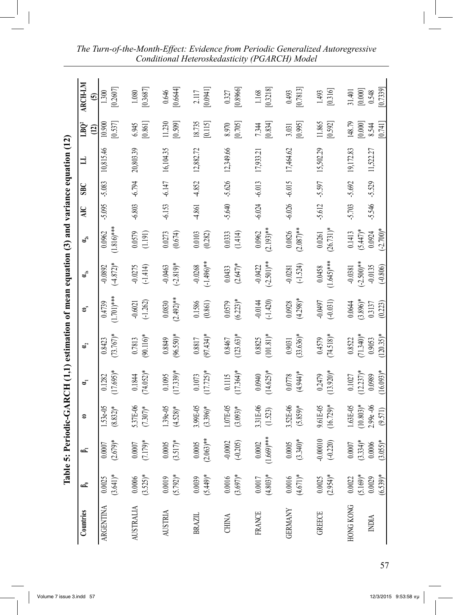| $\sqrt{12}$<br>١   | T RO<br>ĭ               |
|--------------------|-------------------------|
|                    | ₹                       |
|                    | C<br>B<br>$\frac{1}{2}$ |
| $\frac{1}{2}$      |                         |
|                    | $\mathfrak{a}_s$        |
| $\frac{1}{2}$<br>í | 2<br>š<br>ă             |
| i mea              | 3                       |
| Î<br>September 20  | ş<br>ξ                  |
| ĺ<br>こして にくく       | š<br>Σ                  |
|                    | 3                       |
| Į<br>֚֓            | ï                       |
| $\frac{1}{2}$<br>ĺ |                         |

| Countries        | జ                      | డ                         | з                         | ຮັ                        | $\mathbf{a}_2$        | ຣັ                      | $\mathbf{u}_\mathrm{is}$   | $\mathfrak{a}_2$          | <b>AIC</b> | SE       | 彐         | LBQ2<br>$\widetilde{\Xi}$       | ARCH-LM<br>$\widehat{\mathbf{c}}$ |
|------------------|------------------------|---------------------------|---------------------------|---------------------------|-----------------------|-------------------------|----------------------------|---------------------------|------------|----------|-----------|---------------------------------|-----------------------------------|
| <b>ARGENTINA</b> | $(3.641)*$<br>0.0025   | $(2.679)*$<br>$0.0007$    | 1.53e-05<br>$(8.832)*$    | $(17.695)*$<br>0.1282     | $(73.767)*$<br>0.8423 | $(1.701)***$<br>0.4739  | $(-4.872)*$<br>$-0.0892$   | $(1.816)$ ***<br>0.0962   | -5.095     | $-5.083$ | 10,815.46 | 10.900<br>[0.537]               | [0.2607]<br>1.300                 |
| <b>AUSTRALIA</b> | $(3.525)*$<br>$0.0006$ | $(7.179)*$<br>$0.0007$    | 5.37E-06<br>$(7.307)*$    | $(74.052)*$<br>0.1844     | $(90.116)*$<br>0.7813 | $(-1.262)$<br>$-0.6021$ | $-0.0275$<br>$(-1.414)$    | 0.0579<br>(1.191)         | $-6.803$   | $-6.794$ | 20,803.39 | 6.945<br>[0.861]                | [0.3687]<br>1.080                 |
| <b>AUSTRIA</b>   | $(5.792)*$<br>0.0019   | $(3.517)*$<br>0.0005      | $1.39e-0.5$<br>$(4.528)*$ | $(17.339)*$<br>0.1095     | $(96.550)*$<br>0.8849 | $(2.492)$ **<br>0.0830  | $(-2.819)*$<br>$-0.0463$   | 0.0273<br>(0.674)         | $-6.153$   | $-6.147$ | 16,104.35 | 11.230<br>[0.509]               | [0.6644]<br>0.646                 |
| BRAZIL           | $(5.449)*$<br>0.0039   | $(2.063)$ **<br>$0.0005$  | 3.99E-05<br>$(3.396)*$    | $(17.725)*$<br>$0.1073\,$ | $(97.434)*$<br>0.8817 | 0.1586<br>(0.861)       | $(-1.496)$ **<br>$-0.0268$ | 0.0103<br>(0.282)         | -4.861     | $-4.852$ | 12,882.72 | 18.735<br>[0.115]               | [0.0941]<br>2.117                 |
| CHINA            | $(3.697)*$<br>0.0016   | $-0.0002$<br>$(-0.205)$   | 1.07E-05<br>$(3.093)*$    | $(17.364)*$<br>$0.1115$   | $(123.63)*$<br>0.8467 | $(6.223)*$<br>0.0579    | $(2.647)*$<br>0.0433       | 0.0333<br>(1.414)         | $-5.640$   | $-5.626$ | 12,349.66 | [0.705]<br>8.970                | [0.8966]<br>0.327                 |
| <b>FRANCE</b>    | $(4.803)*$<br>0.0017   | $(1.669)$ ***<br>$0.0002$ | 3.31E-06<br>(1.523)       | $(14.625)*$<br>0.0940     | $(101.81)*$<br>0.8825 | $-0.0144$<br>$(-1.420)$ | $(-2.501)$ **<br>$-0.0422$ | $(2.193)$ **<br>0.0962    | $-6.024$   | $-6.013$ | 17,933.21 | [0.834]<br>7.344                | [0.3218]<br>1.168                 |
| <b>GERMANY</b>   | $(4.671)*$<br>0.0016   | $(3.340)*$<br>$0.0005$    | 3.52E-06<br>$(5.859)*$    | $(4.944)*$<br>0.0778      | $(33.636)*$<br>0.9031 | $(4.298)*$<br>0.0928    | $(-1.524)$<br>$-0.0281$    | $(2.087)$ **<br>0.0826    | $-6.026$   | $-6.015$ | 17,464.62 | [0.995]<br>3.031                | [0.7813]<br>0.493                 |
| <b>GREECE</b>    | $(2.954)*$<br>0.0025   | $-0.00010$<br>$(-0.220)$  | 9.61E-05<br>$(16.729)*$   | $(13.920)*$<br>0.2479     | $(74.518)*$<br>0.4579 | -0.0497<br>$(-0.031)$   | $(1.645)***$<br>0.0458     | $(26.731)*$<br>$0.0261\,$ | $-5.612$   | $-5.597$ | 15,502.29 | 11.865<br>[0.592]               | [0.316]<br>1.493                  |
| <b>HONG KONG</b> | $(5.169)*$<br>0.0022   | $(3.334)*$<br>$0.0007$    | $(10.803)*$<br>1.63E-05   | $(12.237)*$<br>0.1027     | $(71.340)*$<br>0.8522 | $(3.896)*$<br>0.0644    | $(-2.500)$ **<br>$-0.0381$ | $(5.447)*$<br>0.1413      | $-5.703$   | $-5.692$ | 19,172.83 | 148.79                          | $[0.000]$<br>31.401               |
| <b>NDIA</b>      | $(6.539)*$<br>0.0029   | $(3.055)*$<br>$0.0006$    | $2.99e -06$<br>(9.571)    | $(16.093)*$<br>0.0989     | $(120.35)*$<br>0.9053 | 0.3137<br>(0.223)       | $(-0.806)$<br>$-0.0135$    | $(-2.700)*$<br>0.0924     | -5.546     | $-5.529$ | 11,522.27 | $[0.000]$<br>8.544<br>$[0.741]$ | [0.7339]<br>0.548                 |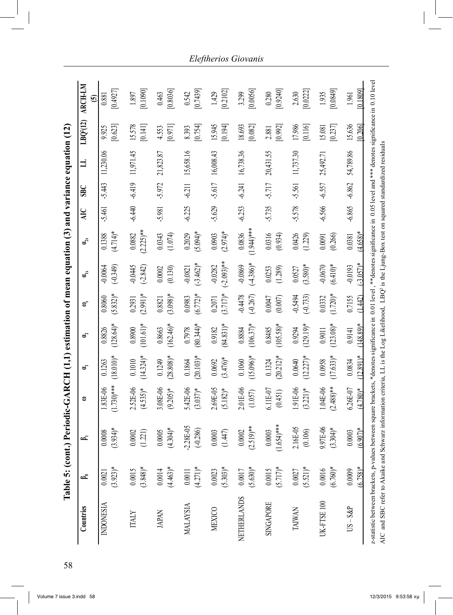| Countries          | చి                       | డ                                                             | 3                          | ತ್                              | ຊ                      | ຣັ                      | ຜ້                                 | $\mathbf{u}_s$          | <b>AIC</b> | SE       | 日         | $L$ BQ $^{2}(12)$   | ARCH-LM<br>$\widehat{\mathbf{c}}$ |
|--------------------|--------------------------|---------------------------------------------------------------|----------------------------|---------------------------------|------------------------|-------------------------|------------------------------------|-------------------------|------------|----------|-----------|---------------------|-----------------------------------|
| <b>INDONESIA</b>   | $(3.923)*$<br>0.0021     | 934)*<br>0008<br>$\mathbf{C}$<br>$\tilde{\omega}$             | $(1.730)***$<br>1.83E-06   | $(18.010)*$<br>0.1263           | $(128.64)$ *<br>0.8826 | $(5.832)*$<br>0.8060    | $(-0.349)$<br>$-0.0064$            | $(4.714)*$<br>0.1388    | $-5.461$   | $-5.443$ | 11,230.06 | [0.623]<br>9.925    | [0.4927]<br>0.881                 |
| <b>ITALY</b>       | $(3.848)*$<br>0.0015     | 0002<br>21)                                                   | 2.52E-06<br>$(4.535)*$     | $14.324$ <sup>*</sup><br>0.1010 | $(101.61)*$<br>0.8900  | $(2.991)*$<br>0.2931    | $-0.0445$<br>$(-2.842)$            | $(2.225)$ **<br>0.0882  | $-6.440$   | $-6.419$ | 11,971.45 | 15.578<br>$[0.141]$ | [0.1090]<br>1.897                 |
| <b>JAPAN</b>       | $(4.463)*$<br>0.0014     | $304$ <sup>*</sup><br>0005<br>É                               | 3.08E-06<br>$(9.205)*$     | $(28.808)*$<br>0.1249           | $(162.46)$ *<br>0.8663 | $(3.098)*$<br>0.8821    | 0.0002<br>(0.130)                  | 0.0343<br>(1.074)       | -5.981     | -5.972   | 21,823.87 | [0.971]<br>4.553    | [0.8036]<br>0.463                 |
| <b>MALAYSIA</b>    | $(4.271)*$<br>$0.0011\,$ | 28E-05<br>$(-0.286)$<br>Ş                                     | 5.42E-06<br>$(3.037)*$     | $(20.103)*$<br>0.1864           | $(80.344)*$<br>0.7978  | $(6.772)*$<br>0.0983    | $(-3.462)*$<br>$-0.0821$           | $(5.094)*$<br>0.2029    | $-6.225$   | $-6.211$ | 15,658.16 | [0.754]<br>8.393    | [0.7439]<br>0.542                 |
| <b>MEXICO</b>      | $(5.303)*$<br>0.0023     | 0003<br>(147)                                                 | 2.69E-05<br>$(5.182)*$     | $(3.476)*$<br>0.0692            | $(84.831)*$<br>0.9182  | $(3.717)*$<br>0.2071    | $(-2.093)$ **<br>$-0.0282$         | $(2.974)*$<br>0.0903    | $-5.629$   | $-5.617$ | 16,008.43 | 15.945<br>[0.194]   | [0.2102]<br>1.429                 |
| <b>NETHERLANDS</b> | $(5.630)*$<br>0.0017     | $(2.519)$ **<br>.0002<br>$\circ$                              | 2.01E-06<br>(1.057)        | $(15.096)*$<br>0.1060           | $(106.37)*$<br>0.8884  | $-0.4478$<br>$(-0.267)$ | $(-4.386)*$<br>$-0.0869$           | $(1.944)$ ***<br>0.0836 | $-6.253$   | $-6.241$ | 16,738.36 | 18.693<br>[0.082]   | [0.0056]<br>3.299                 |
| SINGAPORE          | $(5.717)*$<br>0.0015     | 554)***<br>0003<br>$\circ$<br>$\frac{6}{10}$                  | 6.11E-07<br>(0.451)        | $(20.212)*$<br>0.1324           | $(105.58)*$<br>0.8485  | 0.0047<br>(0.007)       | 0.0253<br>(1.289)                  | 0.0316<br>(0.934)       | $-5.735$   | -5.717   | 20,431.55 | [0.992]<br>2.881    | [0.9240]<br>0.280                 |
| TAIWAN             | $(5.521)*$<br>$0.0027\,$ | 6E-05<br>(0.106)<br>$\overline{c}$                            | 1.91E-06<br>$(3.221)*$     | $(12.227)^*$<br>0.0640          | $(129.19)*$<br>0.9294  | $-0.5494$<br>$(-0.733)$ | $(3.580)*$<br>0.0527               | 0.0426<br>(1.229)       | $-5.578$   | $-5.561$ | 11,737.30 | 17.986<br>[0.116]   | [0.0222]<br>2.630                 |
| UK-FTSE100         | $(6.760)*$<br>0.0016     | <b>DC-E16</b><br>$304$ <sup>*</sup><br>66<br>$\tilde{\omega}$ | 1.04E-06<br>$(2.488)$ **   | $(17.63)$ *<br>0.0958           | $(123.08)*$<br>0.9011  | $(1.720)*$<br>0.0332    | $(6.410)*$<br>$-0.0670$            | (0.266)<br>0.0091       | $-6.566$   | $-6.557$ | 25,492.71 | [0.237]<br>15.081   | [0.0849]<br>1.935                 |
| $US - S\&P$        | $(6.758)*$<br>0.0009     | $.907*$<br>0003<br>$\circ$<br>ও                               | $6.26E - 07$<br>$(4.780)*$ | $12.891$ <sup>*</sup><br>0.0834 | $148.89*$<br>0.9141    | 0.7155<br>(1.442)       | $-3.057$ <sup>*</sup><br>$-0.0193$ | $(4.658)*$<br>0.0381    | $-6.865$   | $-6.862$ | 54,789.86 | 15.636<br>0.2061    | [0.1809]<br>1.961                 |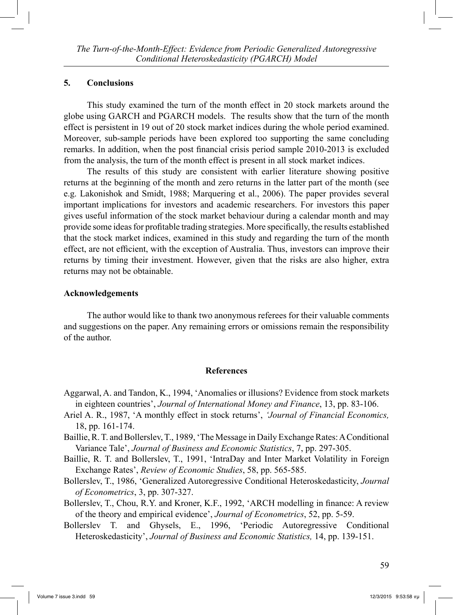### **5. Conclusions**

 This study examined the turn of the month effect in 20 stock markets around the globe using GARCH and PGARCH models. The results show that the turn of the month effect is persistent in 19 out of 20 stock market indices during the whole period examined. Moreover, sub-sample periods have been explored too supporting the same concluding remarks. In addition, when the post financial crisis period sample 2010-2013 is excluded from the analysis, the turn of the month effect is present in all stock market indices.

 The results of this study are consistent with earlier literature showing positive returns at the beginning of the month and zero returns in the latter part of the month (see e.g. Lakonishok and Smidt, 1988; Marquering et al., 2006). The paper provides several important implications for investors and academic researchers. For investors this paper gives useful information of the stock market behaviour during a calendar month and may provide some ideas for profitable trading strategies. More specifically, the results established that the stock market indices, examined in this study and regarding the turn of the month effect, are not efficient, with the exception of Australia. Thus, investors can improve their returns by timing their investment. However, given that the risks are also higher, extra returns may not be obtainable.

### **Acknowledgements**

 The author would like to thank two anonymous referees for their valuable comments and suggestions on the paper. Any remaining errors or omissions remain the responsibility of the author.

### **References**

- Aggarwal, A. and Tandon, K., 1994, 'Anomalies or illusions? Evidence from stock markets in eighteen countries', *Journal of International Money and Finance*, 13, pp. 83-106.
- Ariel A. R., 1987, 'A monthly effect in stock returns', *'Journal of Financial Economics,* 18, pp. 161-174.
- Baillie, R. T. and Bollerslev, T., 1989, 'The Message in Daily Exchange Rates: A Conditional Variance Tale', *Journal of Business and Economic Statistics*, 7, pp. 297-305.
- Baillie, R. T. and Bollerslev, T., 1991, 'IntraDay and Inter Market Volatility in Foreign Exchange Rates', *Review of Economic Studies*, 58, pp. 565-585.
- Bollerslev, T., 1986, 'Generalized Autoregressive Conditional Heteroskedasticity, *Journal of Econometrics*, 3, pp. 307-327.
- Bollerslev, T., Chou, R.Y. and Kroner, K.F., 1992, 'ARCH modelling in finance: A review of the theory and empirical evidence', *Journal of Econometrics*, 52, pp. 5-59.
- Bollerslev T. and Ghysels, E., 1996, 'Periodic Autoregressive Conditional Heteroskedasticity', *Journal of Business and Economic Statistics,* 14, pp. 139-151.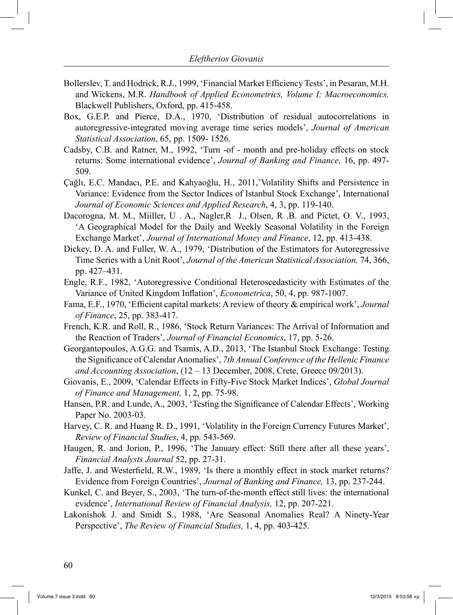- Bollerslev, T. and Hodrick, R.J., 1999, 'Financial Market Efficiency Tests', in Pesaran, M.H. and Wickens, M.R. *Handbook of Applied Econometrics, Volume I: Macroeconomics.*  Blackwell Publishers, Oxford, pp. 415-458.
- Box, G.E.P. and Pierce, D.A., 1970, 'Distribution of residual autocorrelations in autoregressive-integrated moving average time series models', *Journal of American Statistical Association*, 65, pp. 1509- 1526.
- Cadsby, C.B. and Ratner, M., 1992, 'Turn -of month and pre-holiday effects on stock returns: Some international evidence', *Journal of Banking and Finance,* 16, pp. 497- 509.
- Çağlı, E.C. Mandacı, P.E. and Kahyaoğlu, H., 2011,'Volatility Shifts and Persistence in Variance: Evidence from the Sector Indices of Istanbul Stock Exchange', International *Journal of Economic Sciences and Applied Research*, 4, 3, pp. 119-140.
- Dacorogna, M. M., Miiller, U . A., Nagler,R J., Olsen, R .B. and Pictet, O. V., 1993, 'A Geographical Model for the Daily and Weekly Seasonal Volatility in the Foreign Exchange Market', *Journal of International Money and Finance*, 12, pp. 413-438.
- Dickey, D. A. and Fuller, W. A., 1979, 'Distribution of the Estimators for Autoregressive Time Series with a Unit Root', *Journal of the American Statistical Association,* 74, 366, pp. 427–431.
- Engle, R.F., 1982, 'Autoregressive Conditional Heteroscedasticity with Estimates of the Variance of United Kingdom Inflation', *Econometrica*, 50, 4, pp. 987-1007.
- Fama, E.F., 1970, 'Efficient capital markets: A review of theory & empirical work', *Journal of Finance*, 25, pp. 383-417.
- French, K.R. and Roll, R., 1986, 'Stock Return Variances: The Arrival of Information and the Reaction of Traders', *Journal of Financial Economics*, 17, pp. 5-26.
- Georgantopoulos, A.G.G. and Tsamis, A.D., 2013, 'The Istanbul Stock Exchange: Testing the Significance of Calendar Anomalies', *7th Annual Conference of the Hellenic Finance and Accounting Association*, (12 – 13 December, 2008, Crete, Greece 09/2013).
- Giovanis, E., 2009, 'Calendar Effects in Fifty-Five Stock Market Indices', *Global Journal of Finance and Management,* 1, 2, pp. 75-98.
- Hansen, P.R. and Lunde, A., 2003, 'Testing the Significance of Calendar Effects', Working Paper No. 2003-03.
- Harvey, C. R. and Huang R. D., 1991, 'Volatility in the Foreign Currency Futures Market', *Review of Financial Studies*, 4, pp. 543-569.
- Haugen, R. and Jorion, P., 1996, 'The January effect: Still there after all these years', *Financial Analysts Journal* 52, pp. 27-31.
- Jaffe, J. and Westerfield, R.W., 1989, 'Is there a monthly effect in stock market returns? Evidence from Foreign Countries', *Journal of Banking and Finance,* 13, pp. 237-244.
- Kunkel, C. and Beyer, S., 2003, 'The turn-of-the-month effect still lives: the international evidence', *International Review of Financial Analysis,* 12, pp. 207-221.
- Lakonishok J. and Smidt S., 1988, 'Are Seasonal Anomalies Real? A Ninety-Year Perspective', *The Review of Financial Studies,* 1, 4, pp. 403-425.